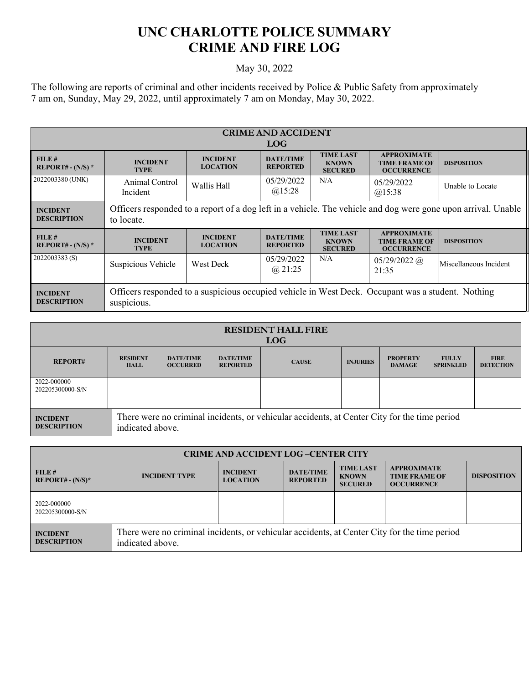## **UNC CHARLOTTE POLICE SUMMARY CRIME AND FIRE LOG**

## May 30, 2022

The following are reports of criminal and other incidents received by Police & Public Safety from approximately 7 am on, Sunday, May 29, 2022, until approximately 7 am on Monday, May 30, 2022.

| <b>CRIME AND ACCIDENT</b>             |                                                                                                                             |                                    |                                     |                                                    |                                                                 |                        |  |
|---------------------------------------|-----------------------------------------------------------------------------------------------------------------------------|------------------------------------|-------------------------------------|----------------------------------------------------|-----------------------------------------------------------------|------------------------|--|
| <b>LOG</b>                            |                                                                                                                             |                                    |                                     |                                                    |                                                                 |                        |  |
| FILE#<br>REPORT# - $(N/S)$ *          | <b>INCIDENT</b><br><b>TYPE</b>                                                                                              | <b>INCIDENT</b><br><b>LOCATION</b> | <b>DATE/TIME</b><br><b>REPORTED</b> | <b>TIME LAST</b><br><b>KNOWN</b><br><b>SECURED</b> | <b>APPROXIMATE</b><br><b>TIME FRAME OF</b><br><b>OCCURRENCE</b> | <b>DISPOSITION</b>     |  |
| 2022003380 (UNK)                      | Animal Control<br>Incident                                                                                                  | Wallis Hall                        | 05/29/2022<br>$(a)$ 15:28           | N/A                                                | 05/29/2022<br>$(a)$ 15:38                                       | Unable to Locate       |  |
| <b>INCIDENT</b><br><b>DESCRIPTION</b> | Officers responded to a report of a dog left in a vehicle. The vehicle and dog were gone upon arrival. Unable<br>to locate. |                                    |                                     |                                                    |                                                                 |                        |  |
| FILE#<br>$REPORT# - (N/S) *$          | <b>INCIDENT</b><br><b>TYPE</b>                                                                                              | <b>INCIDENT</b><br><b>LOCATION</b> | <b>DATE/TIME</b><br><b>REPORTED</b> | <b>TIME LAST</b><br><b>KNOWN</b><br><b>SECURED</b> | <b>APPROXIMATE</b><br><b>TIME FRAME OF</b><br><b>OCCURRENCE</b> | <b>DISPOSITION</b>     |  |
| 2022003383(S)                         | Suspicious Vehicle                                                                                                          | <b>West Deck</b>                   | 05/29/2022<br>$(a)$ 21:25           | N/A                                                | $05/29/2022$ (a)<br>21:35                                       | Miscellaneous Incident |  |
| <b>INCIDENT</b><br><b>DESCRIPTION</b> | Officers responded to a suspicious occupied vehicle in West Deck. Occupant was a student. Nothing<br>suspicious.            |                                    |                                     |                                                    |                                                                 |                        |  |

| <b>RESIDENT HALL FIRE</b><br><b>LOG</b> |                                                                                                                  |                                     |                                     |              |                 |                                  |                                  |                                 |
|-----------------------------------------|------------------------------------------------------------------------------------------------------------------|-------------------------------------|-------------------------------------|--------------|-----------------|----------------------------------|----------------------------------|---------------------------------|
| <b>REPORT#</b>                          | <b>RESIDENT</b><br><b>HALL</b>                                                                                   | <b>DATE/TIME</b><br><b>OCCURRED</b> | <b>DATE/TIME</b><br><b>REPORTED</b> | <b>CAUSE</b> | <b>INJURIES</b> | <b>PROPERTY</b><br><b>DAMAGE</b> | <b>FULLY</b><br><b>SPRINKLED</b> | <b>FIRE</b><br><b>DETECTION</b> |
| 2022-000000<br>202205300000-S/N         |                                                                                                                  |                                     |                                     |              |                 |                                  |                                  |                                 |
| <b>INCIDENT</b><br><b>DESCRIPTION</b>   | There were no criminal incidents, or vehicular accidents, at Center City for the time period<br>indicated above. |                                     |                                     |              |                 |                                  |                                  |                                 |

| <b>CRIME AND ACCIDENT LOG-CENTER CITY</b> |                                                                                                                  |                                    |                                     |                                                    |                                                                 |                    |  |
|-------------------------------------------|------------------------------------------------------------------------------------------------------------------|------------------------------------|-------------------------------------|----------------------------------------------------|-----------------------------------------------------------------|--------------------|--|
| FILE#<br>$REPORT# - (N/S)*$               | <b>INCIDENT TYPE</b>                                                                                             | <b>INCIDENT</b><br><b>LOCATION</b> | <b>DATE/TIME</b><br><b>REPORTED</b> | <b>TIME LAST</b><br><b>KNOWN</b><br><b>SECURED</b> | <b>APPROXIMATE</b><br><b>TIME FRAME OF</b><br><b>OCCURRENCE</b> | <b>DISPOSITION</b> |  |
| 2022-000000<br>202205300000-S/N           |                                                                                                                  |                                    |                                     |                                                    |                                                                 |                    |  |
| <b>INCIDENT</b><br><b>DESCRIPTION</b>     | There were no criminal incidents, or vehicular accidents, at Center City for the time period<br>indicated above. |                                    |                                     |                                                    |                                                                 |                    |  |